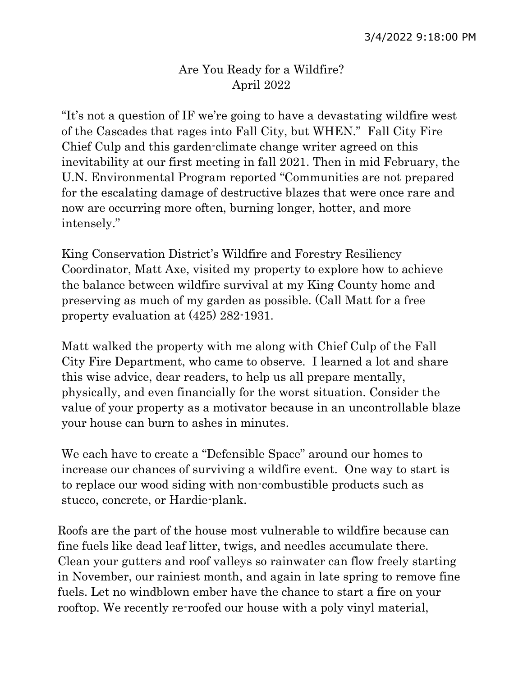## Are You Ready for a Wildfire? April 2022

"It's not a question of IF we're going to have a devastating wildfire west of the Cascades that rages into Fall City, but WHEN." Fall City Fire Chief Culp and this garden-climate change writer agreed on this inevitability at our first meeting in fall 2021. Then in mid February, the U.N. Environmental Program reported "Communities are not prepared for the escalating damage of destructive blazes that were once rare and now are occurring more often, burning longer, hotter, and more intensely."

King Conservation District's Wildfire and Forestry Resiliency Coordinator, Matt Axe, visited my property to explore how to achieve the balance between wildfire survival at my King County home and preserving as much of my garden as possible. (Call Matt for a free property evaluation at (425) 282-1931.

Matt walked the property with me along with Chief Culp of the Fall City Fire Department, who came to observe. I learned a lot and share this wise advice, dear readers, to help us all prepare mentally, physically, and even financially for the worst situation. Consider the value of your property as a motivator because in an uncontrollable blaze your house can burn to ashes in minutes.

We each have to create a "Defensible Space" around our homes to increase our chances of surviving a wildfire event. One way to start is to replace our wood siding with non-combustible products such as stucco, concrete, or Hardie-plank.

Roofs are the part of the house most vulnerable to wildfire because can fine fuels like dead leaf litter, twigs, and needles accumulate there. Clean your gutters and roof valleys so rainwater can flow freely starting in November, our rainiest month, and again in late spring to remove fine fuels. Let no windblown ember have the chance to start a fire on your rooftop. We recently re-roofed our house with a poly vinyl material,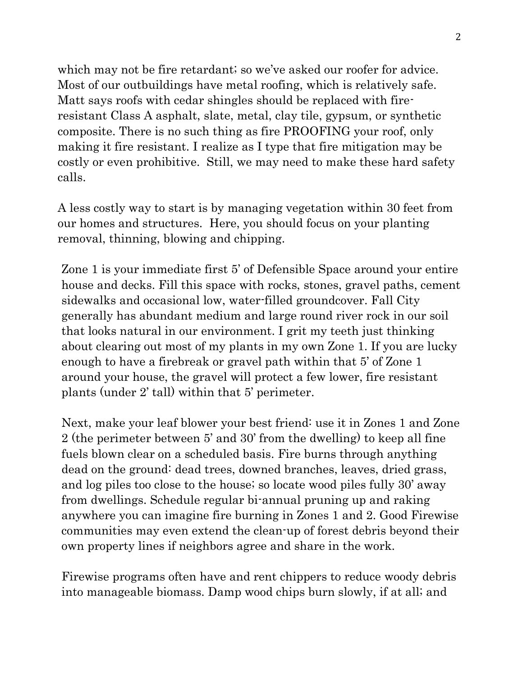which may not be fire retardant; so we've asked our roofer for advice. Most of our outbuildings have metal roofing, which is relatively safe. Matt says roofs with cedar shingles should be replaced with fireresistant Class A asphalt, slate, metal, clay tile, gypsum, or synthetic composite. There is no such thing as fire PROOFING your roof, only making it fire resistant. I realize as I type that fire mitigation may be costly or even prohibitive. Still, we may need to make these hard safety calls.

A less costly way to start is by managing vegetation within 30 feet from our homes and structures. Here, you should focus on your planting removal, thinning, blowing and chipping.

Zone 1 is your immediate first 5' of Defensible Space around your entire house and decks. Fill this space with rocks, stones, gravel paths, cement sidewalks and occasional low, water-filled groundcover. Fall City generally has abundant medium and large round river rock in our soil that looks natural in our environment. I grit my teeth just thinking about clearing out most of my plants in my own Zone 1. If you are lucky enough to have a firebreak or gravel path within that 5' of Zone 1 around your house, the gravel will protect a few lower, fire resistant plants (under 2' tall) within that 5' perimeter.

Next, make your leaf blower your best friend: use it in Zones 1 and Zone 2 (the perimeter between 5' and 30' from the dwelling) to keep all fine fuels blown clear on a scheduled basis. Fire burns through anything dead on the ground: dead trees, downed branches, leaves, dried grass, and log piles too close to the house; so locate wood piles fully 30' away from dwellings. Schedule regular bi-annual pruning up and raking anywhere you can imagine fire burning in Zones 1 and 2. Good Firewise communities may even extend the clean-up of forest debris beyond their own property lines if neighbors agree and share in the work.

Firewise programs often have and rent chippers to reduce woody debris into manageable biomass. Damp wood chips burn slowly, if at all; and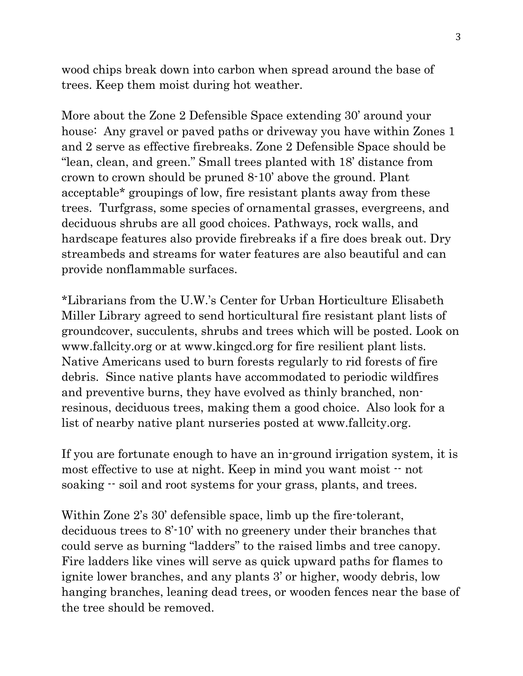wood chips break down into carbon when spread around the base of trees. Keep them moist during hot weather.

More about the Zone 2 Defensible Space extending 30' around your house: Any gravel or paved paths or driveway you have within Zones 1 and 2 serve as effective firebreaks. Zone 2 Defensible Space should be "lean, clean, and green." Small trees planted with 18' distance from crown to crown should be pruned 8-10' above the ground. Plant acceptable\* groupings of low, fire resistant plants away from these trees. Turfgrass, some species of ornamental grasses, evergreens, and deciduous shrubs are all good choices. Pathways, rock walls, and hardscape features also provide firebreaks if a fire does break out. Dry streambeds and streams for water features are also beautiful and can provide nonflammable surfaces.

\*Librarians from the U.W.'s Center for Urban Horticulture Elisabeth Miller Library agreed to send horticultural fire resistant plant lists of groundcover, succulents, shrubs and trees which will be posted. Look on www.fallcity.org or at www.kingcd.org for fire resilient plant lists. Native Americans used to burn forests regularly to rid forests of fire debris. Since native plants have accommodated to periodic wildfires and preventive burns, they have evolved as thinly branched, nonresinous, deciduous trees, making them a good choice. Also look for a list of nearby native plant nurseries posted at www.fallcity.org.

If you are fortunate enough to have an in-ground irrigation system, it is most effective to use at night. Keep in mind you want moist  $\cdot$  not soaking  $-$  soil and root systems for your grass, plants, and trees.

Within Zone 2's 30' defensible space, limb up the fire-tolerant, deciduous trees to 8'-10' with no greenery under their branches that could serve as burning "ladders" to the raised limbs and tree canopy. Fire ladders like vines will serve as quick upward paths for flames to ignite lower branches, and any plants 3' or higher, woody debris, low hanging branches, leaning dead trees, or wooden fences near the base of the tree should be removed.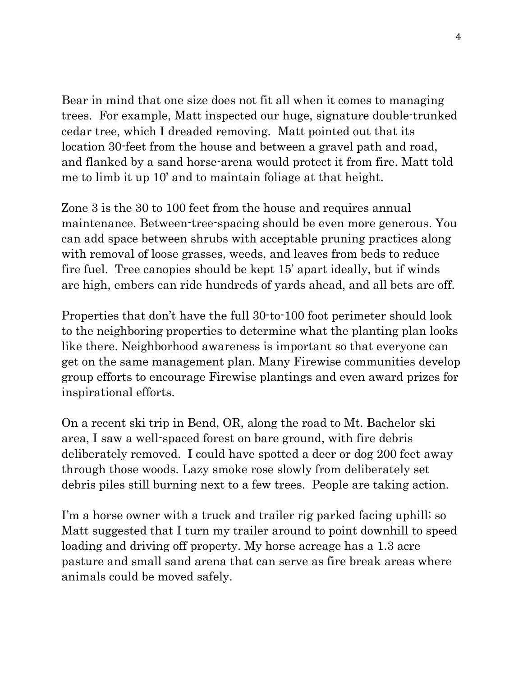Bear in mind that one size does not fit all when it comes to managing trees. For example, Matt inspected our huge, signature double-trunked cedar tree, which I dreaded removing. Matt pointed out that its location 30-feet from the house and between a gravel path and road, and flanked by a sand horse-arena would protect it from fire. Matt told me to limb it up 10' and to maintain foliage at that height.

Zone 3 is the 30 to 100 feet from the house and requires annual maintenance. Between-tree-spacing should be even more generous. You can add space between shrubs with acceptable pruning practices along with removal of loose grasses, weeds, and leaves from beds to reduce fire fuel. Tree canopies should be kept 15' apart ideally, but if winds are high, embers can ride hundreds of yards ahead, and all bets are off.

Properties that don't have the full 30-to-100 foot perimeter should look to the neighboring properties to determine what the planting plan looks like there. Neighborhood awareness is important so that everyone can get on the same management plan. Many Firewise communities develop group efforts to encourage Firewise plantings and even award prizes for inspirational efforts.

On a recent ski trip in Bend, OR, along the road to Mt. Bachelor ski area, I saw a well-spaced forest on bare ground, with fire debris deliberately removed. I could have spotted a deer or dog 200 feet away through those woods. Lazy smoke rose slowly from deliberately set debris piles still burning next to a few trees. People are taking action.

I'm a horse owner with a truck and trailer rig parked facing uphill; so Matt suggested that I turn my trailer around to point downhill to speed loading and driving off property. My horse acreage has a 1.3 acre pasture and small sand arena that can serve as fire break areas where animals could be moved safely.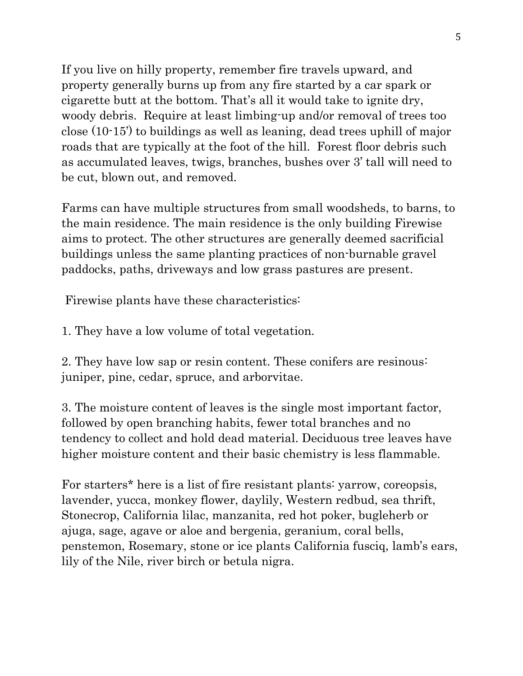If you live on hilly property, remember fire travels upward, and property generally burns up from any fire started by a car spark or cigarette butt at the bottom. That's all it would take to ignite dry, woody debris. Require at least limbing-up and/or removal of trees too close (10-15') to buildings as well as leaning, dead trees uphill of major roads that are typically at the foot of the hill. Forest floor debris such as accumulated leaves, twigs, branches, bushes over 3' tall will need to be cut, blown out, and removed.

Farms can have multiple structures from small woodsheds, to barns, to the main residence. The main residence is the only building Firewise aims to protect. The other structures are generally deemed sacrificial buildings unless the same planting practices of non-burnable gravel paddocks, paths, driveways and low grass pastures are present.

Firewise plants have these characteristics:

1. They have a low volume of total vegetation.

2. They have low sap or resin content. These conifers are resinous: juniper, pine, cedar, spruce, and arborvitae.

3. The moisture content of leaves is the single most important factor, followed by open branching habits, fewer total branches and no tendency to collect and hold dead material. Deciduous tree leaves have higher moisture content and their basic chemistry is less flammable.

For starters\* here is a list of fire resistant plants: yarrow, coreopsis, lavender, yucca, monkey flower, daylily, Western redbud, sea thrift, Stonecrop, California lilac, manzanita, red hot poker, bugleherb or ajuga, sage, agave or aloe and bergenia, geranium, coral bells, penstemon, Rosemary, stone or ice plants California fusciq, lamb's ears, lily of the Nile, river birch or betula nigra.